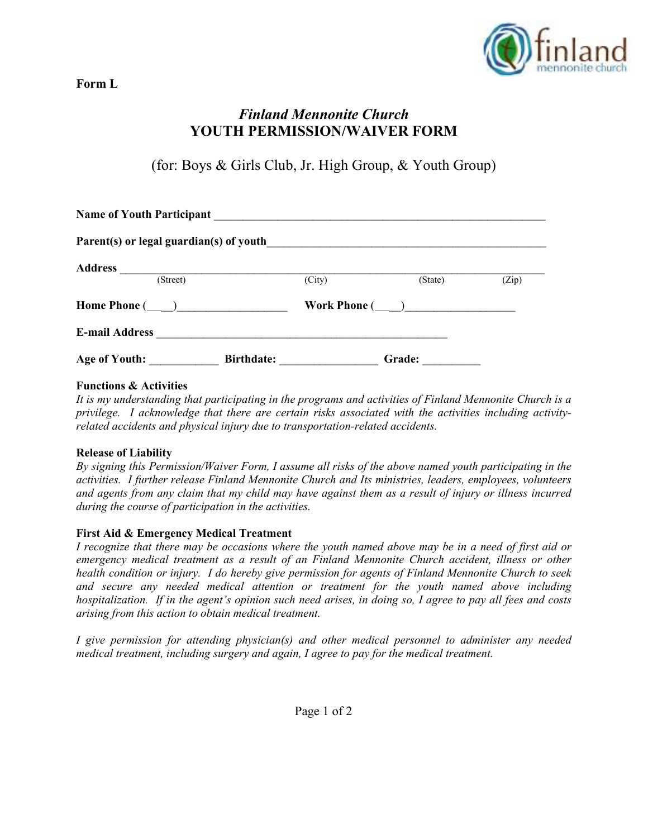

# **Form L**

# *Finland Mennonite Church* **YOUTH PERMISSION/WAIVER FORM**

(for: Boys & Girls Club, Jr. High Group, & Youth Group)

| <b>Name of Youth Participant</b><br><u> 1989 - Johann Harry Barn, mars and de film and de film and de film and de film and de film and de film and de</u> |                   |                     |               |       |
|-----------------------------------------------------------------------------------------------------------------------------------------------------------|-------------------|---------------------|---------------|-------|
|                                                                                                                                                           |                   |                     |               |       |
| <b>Address</b>                                                                                                                                            |                   |                     |               |       |
| (Street)                                                                                                                                                  |                   | (City)              | (State)       | (Zip) |
| Home Phone (________)                                                                                                                                     |                   | Work Phone $(\_\_)$ |               |       |
| <b>E-mail Address</b>                                                                                                                                     |                   |                     |               |       |
| <b>Age of Youth:</b>                                                                                                                                      | <b>Birthdate:</b> |                     | <b>Grade:</b> |       |

# **Functions & Activities**

*It is my understanding that participating in the programs and activities of Finland Mennonite Church is a privilege. I acknowledge that there are certain risks associated with the activities including activityrelated accidents and physical injury due to transportation-related accidents.* 

#### **Release of Liability**

*By signing this Permission/Waiver Form, I assume all risks of the above named youth participating in the activities. I further release Finland Mennonite Church and Its ministries, leaders, employees, volunteers and agents from any claim that my child may have against them as a result of injury or illness incurred during the course of participation in the activities.* 

# **First Aid & Emergency Medical Treatment**

*I recognize that there may be occasions where the youth named above may be in a need of first aid or emergency medical treatment as a result of an Finland Mennonite Church accident, illness or other health condition or injury. I do hereby give permission for agents of Finland Mennonite Church to seek and secure any needed medical attention or treatment for the youth named above including hospitalization. If in the agent's opinion such need arises, in doing so, I agree to pay all fees and costs arising from this action to obtain medical treatment.* 

*I give permission for attending physician(s) and other medical personnel to administer any needed medical treatment, including surgery and again, I agree to pay for the medical treatment.*